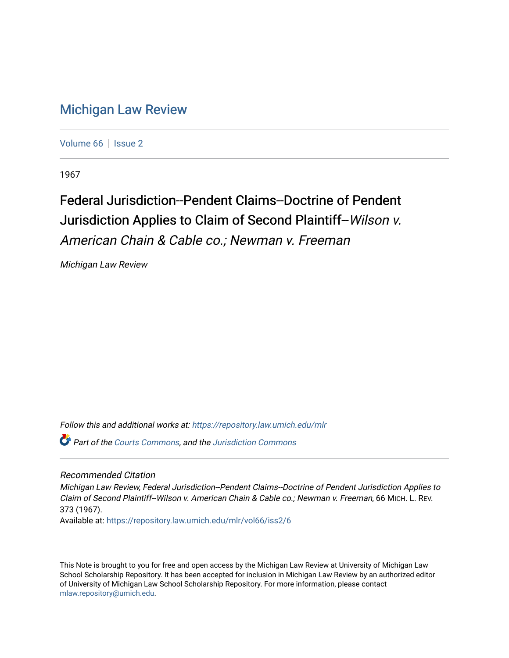## [Michigan Law Review](https://repository.law.umich.edu/mlr)

[Volume 66](https://repository.law.umich.edu/mlr/vol66) | [Issue 2](https://repository.law.umich.edu/mlr/vol66/iss2)

1967

# Federal Jurisdiction--Pendent Claims--Doctrine of Pendent Jurisdiction Applies to Claim of Second Plaintiff--Wilson v. American Chain & Cable co.; Newman v. Freeman

Michigan Law Review

Follow this and additional works at: [https://repository.law.umich.edu/mlr](https://repository.law.umich.edu/mlr?utm_source=repository.law.umich.edu%2Fmlr%2Fvol66%2Fiss2%2F6&utm_medium=PDF&utm_campaign=PDFCoverPages) 

**C**<sup> $\bullet$ </sup> Part of the [Courts Commons,](http://network.bepress.com/hgg/discipline/839?utm_source=repository.law.umich.edu%2Fmlr%2Fvol66%2Fiss2%2F6&utm_medium=PDF&utm_campaign=PDFCoverPages) and the [Jurisdiction Commons](http://network.bepress.com/hgg/discipline/850?utm_source=repository.law.umich.edu%2Fmlr%2Fvol66%2Fiss2%2F6&utm_medium=PDF&utm_campaign=PDFCoverPages)

### Recommended Citation

Michigan Law Review, Federal Jurisdiction--Pendent Claims--Doctrine of Pendent Jurisdiction Applies to Claim of Second Plaintiff--Wilson v. American Chain & Cable co.; Newman v. Freeman, 66 MICH. L. REV. 373 (1967).

Available at: [https://repository.law.umich.edu/mlr/vol66/iss2/6](https://repository.law.umich.edu/mlr/vol66/iss2/6?utm_source=repository.law.umich.edu%2Fmlr%2Fvol66%2Fiss2%2F6&utm_medium=PDF&utm_campaign=PDFCoverPages)

This Note is brought to you for free and open access by the Michigan Law Review at University of Michigan Law School Scholarship Repository. It has been accepted for inclusion in Michigan Law Review by an authorized editor of University of Michigan Law School Scholarship Repository. For more information, please contact [mlaw.repository@umich.edu.](mailto:mlaw.repository@umich.edu)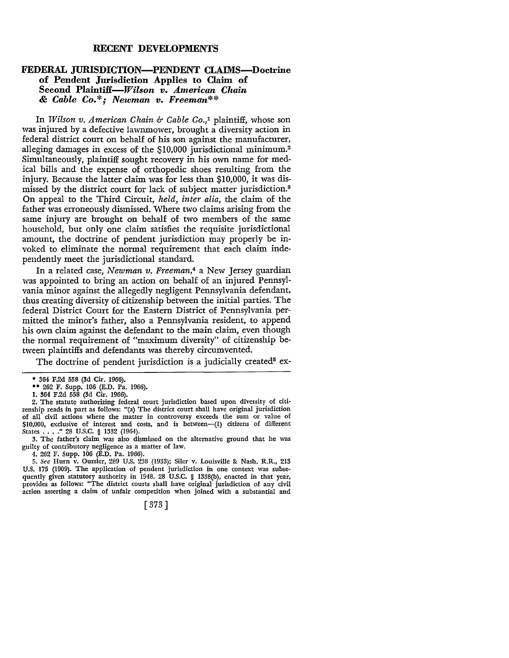#### **RECENT DEVELOPMENTS**

#### **FEDERAL JURISDICTION-PENDENT CLAIMS-Doctrine of Pendent Jurisdiction Applies to Claim of Second** *Plaintiff-Wilson v. American Chain*  & *Cable Co.\*; Newman v. Freeman\*\**

In *Wilson v. American Chain & Cable* Co.,1 plaintiff, whose son was injured by a defective lawnmower, brought a diversity action in federal district court on behalf of his son against the manufacturer, alleging damages in excess of the \$10,000 jurisdictional minimum.<sup>2</sup> Simultaneously, plaintiff sought recovery in his own name for medical bills and the expense of orthopedic shoes resulting from the injury. Because the latter claim was for less than \$10,000, it was dismissed by the district court for lack of subject matter jurisdiction.<sup>8</sup> **On** appeal to the Third Circuit, *held, inter alia,* the claim of the father was erroneously dismissed. Where two claims arising from the same injury are brought on behalf of two members of the same household, but only one claim satisfies the requisite jurisdictional amount, the doctrine of pendent jurisdiction may properly be invoked to eliminate the normal requirement that each claim independently meet the jurisdictional standard.

In a related case, *Newman v. Freeman,*4 a New Jersey guardian was appointed to bring an action on behalf of an injured Pennsylvania minor against the allegedly negligent Pennsylvania defendant, thus creating diversity of citizenship between the initial parties. The federal District Court for the Eastern District of Pennsylvania permitted the minor's father, also a Pennsylvania resident, to append his own claim against the defendant to the main claim, even though the normal requirement of "maximum diversity" of citizenship between plaintiffs and defendants was thereby circumvented.

The doctrine of pendent jurisdiction is a judicially created<sup>5</sup> ex-

2, The statute authorizing federal court jurisdiction based upon diversity of citizenship reads in part as follows: "(a) The district court shall have original jurisdiction of all civil actions where the matter in controversy e.xceeds the sum or value of \$10,000, exclusive of interest and costs, and is between-(!) citizens of different States . . . . " 28 U.S.C. § 1332 (1964).

3. The father's claim was also dismissed on the alternative ground that he was guilty of contributory negligence as a matter of law.

4. 262 F. Supp. 106 (E.D. Pa. 1966).

5. See Hurn v. Oursler, 289 U.S. 238 (1933); Siler v. Louisville 8: Nash. R.R., 213 U.S. 175 (1909). The application of pendent jurisdiction in one context was subsequently given statutory authority in 1948. 28 U.S.C. § 1338(b), enacted in that year, provides as follows: "The district courts shall have original jurisdiction of any civil action asserting a claim of unfair competition when joined with a substantial and

[ 373]

<sup>• 364</sup> F.2d 558 (3d Cir. 1966).

**u** 262 F. Supp. 106 (E.D. Pa. 1966).

**<sup>1.</sup>** 364 F.2d 558 (3d Cir. 1966).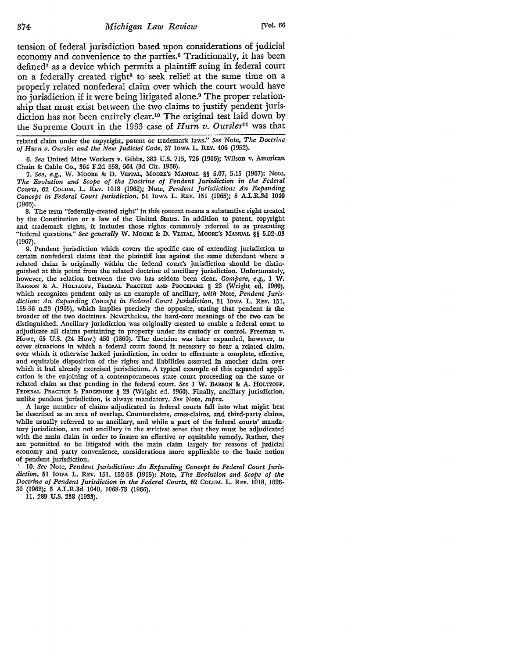tension of federal jurisdiction based upon considerations of judicial economy and convenience to the parties.6 Traditionally, it has been defined7 as a device which permits a plaintiff suing in federal court on a federally created right<sup>8</sup> to seek relief at the same time on a properly related nonfederal claim over which the court would have no jurisdiction if it were being litigated alone.9 The proper relationship that must exist between the two claims to justify pendent jurisdiction has not been entirely clear.10 The original test laid down by the Supreme Court in the 1933 case of *Hurn v. Oursler11* was that

related claim under the copyright, patent or trademark laws." *See* Note, *The Doctrine of Hurn v. Oursler and the New Judicial Gode,* 37 IowA L. REv. 406 (1952).

6. *See* United Mine Workers v. Gibbs, 383 U.S. 715, 726 (1966); Wilson v. American Chain &: Cable Co., 364 F.2d 558, 564 (3d Cir. 1966).

7. *See, e.g.,* w. MOORE &: D. VESTAL, MOORE'S MANUAL §§ 5.07, 5.15 (1967); Note, *The Evolution and Scope of the Doctrine of Pendent Jurisdiction in the Federal Courts,* 62 CoLUM. L. REv. 1018 (1962); Note, *Pendent Jurisdiction: An Expanding Concept in Federal Court Jurisdiction,* 51 IOWA L. REV. 151 (1965); 5 A.L.R.3d 1040 (1966).

8. The term "federally-created right" in this context means a substantive right created by the Constitution or a law of the United States. In addition to patent, copyright and trademark rights, it includes those rights commonly referred to as presenting "federal questions." *See generally* W. MooRE & D. VESTAL, MooRE's :MANUAL §§ 5.02-.03 (1967).

9. Pendent jurisdiction which covers the specific case of extending jurisdiction to certain nonfederal claims that the plaintiff has against the same defendant where a related claim is originally within the federal court's jurisdiction should be distinguished at this point from the related doctrine of ancillary jurisdiction. Unfortunately, however, the relation between the two has seldom been clear. *Compare*, e.g., 1 W. BARRON & A. HOLTZOFF, FEDERAL PRACTICE AND PROCEDURE § 23 (Wright ed. 1960), which recognizes pendent only as an example of ancillary, *with* Note, *Pendent Jurisdiction: An Expanding Concept in Federal Court Jurisdiction,* 51 IOWA L. REv. 151, 155-56 n.29 (1965), which implies precisely the opposite, stating that pendent is the broader of the two doctrines. Nevertheless, the hard-core meanings of the two can be distinguished. Ancillary jurisdiction was originally created to enable a federal court to adjudicate all claims pertaining to property under its custody or control. Freeman v. Howe, 65 U.S. (24 How.) 450 (1860). The doctrine was later expanded, however, to cover situations in which a federal court found it necessary to hear a related claim, over which it otherwise lacked jurisdiction, in order to effectuate a complete, effective, and equitable disposition of the rights and liabilities asserted in another claim over which it had already exercised jurisdiction. A typical example of this expanded application is the enjoining of a contemporaneous state court proceeding on the same or related claim as that pending in the federal court. See 1 W. BARRON & A. HOLTZOFF, FEDERAL PRACTICE & PROCEDURE § 23 (Wright ed. 1960). Finally, ancillary jurisdiction, unlike pendent jurisdiction, is always mandatory. *See* Note, *supra.* 

A large number of claims adjudicated in federal courts fall into what might best be described as an area of overlap. Counterclaims, cross-claims, and third-party claims, while usually referred to as ancillary, and while a part of the federal courts' mandatory jurisdiction, are not ancillary in the strictest sense that they must be adjudicated with the main claim in order to insure an effective or equitable remedy. Rather, they are permitted to be litigated with the main claim largely for reasons of judicial economy and party convenience, considerations more applicable to the basic notion of pendent jurisdiction.

· 10. *See* Note, *Pendent Jurisdiction: An Expanding Concept in Federal Court Juris• diction,* 51 IowA L. REv. 151, 152-53 (1965); Note, *The Evolution and Scope of the Doctrine of Pendent Jurisdiction in the Federal Courts,* 62 CoLUM. L. REv. 1018, 1026· 30 (1962); 5 A.L.R.3d 1040, 1068-73 (1966).

11. 289 U.S. 238 (1933).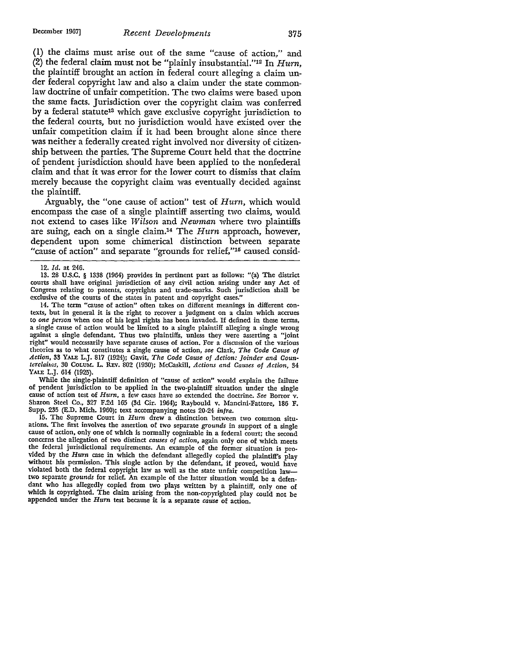(1) the claims must arise out of the same "cause of action," and (2) the federal claim must not be "plainly insubstantial."12 In *Hurn,*  the plaintiff brought an action in federal court alleging a claim under federal copyright law and also a claim under the state commonlaw doctrine of unfair competition. The two claims were based upon the same facts. Jurisdiction over the copyright claim was conferred by a federal statute<sup>13</sup> which gave exclusive copyright jurisdiction to the federal courts, but no jurisdiction would have existed over the unfair competition claim if it had been brought alone since there was neither a federally created right involved nor diversity of citizenship between the parties. The Supreme Court held that the doctrine of pendent jurisdiction should have been applied to the nonfederal claim and that it was error for the lower court to dismiss that claim merely because the copyright claim was eventually decided against the plaintiff.

Arguably, the "one cause of action" test of *Hurn,* which would encompass the case of a single plaintiff asserting two claims, would not extend to cases like *'Wilson* and *Newman* where two plaintiffs are suing, each on a single claim.14 The *Hurn* approach, however, dependent upon some chimerical distinction between separate "cause of action" and separate "grounds for relief,"<sup>15</sup> caused consid-

13. 28 U.S.C. § 1338 (1964) provides in pertinent part as follows: "(a) The district courts shall have original jurisdiction of any civil action arising under any Act of Congress relating to patents, copyrights and trade-marks. Such jurisdiction shall be exclusive **of** the courts of the states in patent and copyright cases."

14. The term "cause of action" often takes on different meanings in different con• texts, but in general it is the right to recover a judgment on a claim which accrues to *one person* when one of his legal rights has been invaded. If defined in these terms, a single cause of action would be limited to a single plaintiff alleging a single wrong against a single defendant. Thus two plaintiffs, unless they were asserting a "joint right" would necessarily have separate causes of action. For a discussion of the various theories as to what constitutes a single cause of action, *see* Clark, *The Code Cause of Action,* 33 YALE L.J. 817 (1924); Gavit, *The Code Cause of Action: Joinder and Counterclaiu1s,* 30 CoLUM. L. REv. 802 (1930); McCaskill, *Actions and Causes of Action,* 34 YALE L.J. 614 (1925).

While the single-plaintiff definition of "cause of action" would explain the failure of pendent jurisdiction to be applied in the two-plaintiff situation under the single cause of action test of *Hurn,* a few cases have so extended the doctrine. *See* Borror v. Sharon Steel Co., 327 F.2d 165 (3d Cir. 1964); Raybould v. Mancini-Fattore, 186 F. Supp. 235 (E.D. Mich. 1960); text accompanying notes 20-24 *infra.* 

15. The Supreme Court in *Hurn* drew a distinction between two common situations. The first involves the assertion of two separate *grounds* in support of a single cause of action, only one of which is normally cognizable in a federal court; the second concerns the allegation of two distinct *causes of action,* again only one of which meets the federal jurisdictional requirements. An example of the former situation is pro• vided by the *Hurn* case in which the defendant allegedly copied the plaintiff's play without his permission. This single action by the defendant, if proved, would have violated both the federal copyright law as well as the state unfair competition lawtwo separate *grounds* for relief. An example of the latter situation would be a defendant who has allegedly copied from two plays written by a plaintiff, only one of which is copyrighted. The claim arising from the non-copyrighted play could not be appended under the *Hurn* test because it is a separate *cause* of action.

<sup>12.</sup> *Id.* at 246.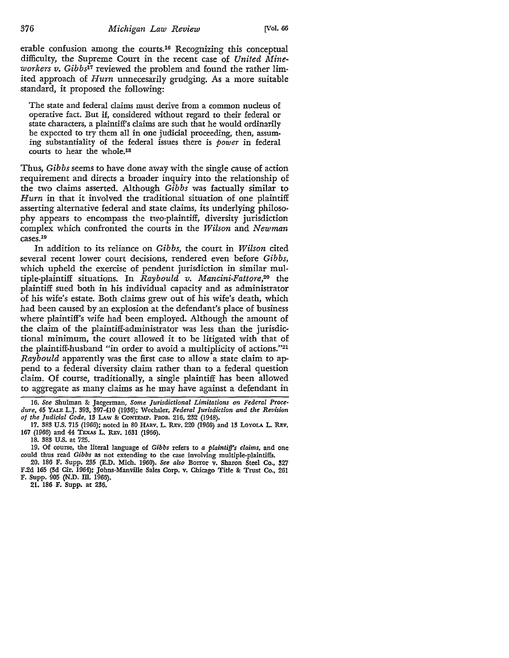erable confusion among the courts.16 Recognizing this conceptual difficulty, the Supreme Court in the recent case of *United Mineworkers v. Gibbs17* reviewed the problem and found the rather limited approach of *Hurn* unnecesarily grudging. As a more suitable standard, it proposed the following:

The state and federal claims must derive from a common nucleus of operative fact. But if, considered without regard to their federal or state characters, a plaintiff's claims are such that he would ordinarily be expected to try them all in one judicial proceeding, then, assuming substantiality of the federal issues there is *power* in federal courts to hear the whole.1s

Thus, *Gibbs* seems to have done away with the single cause of action requirement and directs a broader inquiry into the relationship of the two claims asserted. Although *Gibbs* was factually similar to Hurn in that it involved the traditional situation of one plaintiff asserting alternative federal and state claims, its underlying philosophy appears to encompass the two-plaintiff, diversity jurisdiction complex which confronted the courts in the *Wilson* and *Newman*  cases.19

In addition to its reliance on *Gibbs,* the court in *Wilson* cited several recent lower court decisions, rendered even before *Gibbs,*  which upheld the exercise of pendent jurisdiction in similar multiple-plaintiff situations. In *Raybould v. Mancini-Fattore,20* the plaintiff sued both in his individual capacity and as administrator of his wife's estate. Both claims grew out of his wife's death, which had been caused by an explosion at the defendant's place of business where plaintiff's wife had been employed. Although the amount of the claim of the plaintiff-administrator was less than the jurisdictional minimum, the court allowed it to be litigated with that of the plaintiff-husband "in order to avoid a multiplicity of actions.''21 *Raybould* apparently was the first case to allow a state claim to append to a federal diversity claim rather than to a federal question claim. Of course, traditionally, a single plaintiff has been allowed to aggregate as many claims as he may have against a defendant in

20. 186 F. Supp. 235 (E.D. Mich. 1960). *See also* Borror v. Sharon Steel Co., 827 F.2d 165 (3d Cir. 1964); Johns-Manville Sales Corp. v. Chicago Title &: Trust Co., 261 F. Supp. 905 (N.D. Ill. 1966).

21. 186 F. Supp. at 236.

<sup>16.</sup> *See* Shulman & Jaegerman, *Some Jurisdictional Limitations on Federal Procedure,* 45 YALE L.J. 393, 397-410 (1936); Wechsler, *Federal Jurisdiction and the Revision of the Judicial Code,* 13 LAW &: CoNTEMP. PROB. 216, 232 (1948).

<sup>17. 383</sup> U.S. 715 (1966); noted in 80 HARV. L. REV. 220 (1966) and 13 LOYOLA L. REV. 167 (1966) and 44 TEXAS L. REv. 1631 (1966).

<sup>18. 383</sup> U.S. at 725.

<sup>19.</sup> Of course, the literal language of *Gibbs* refers to *a plaintiffs claims,* and one could thus read *Gibbs* as not extending to the case involving multiple-plaintiffs.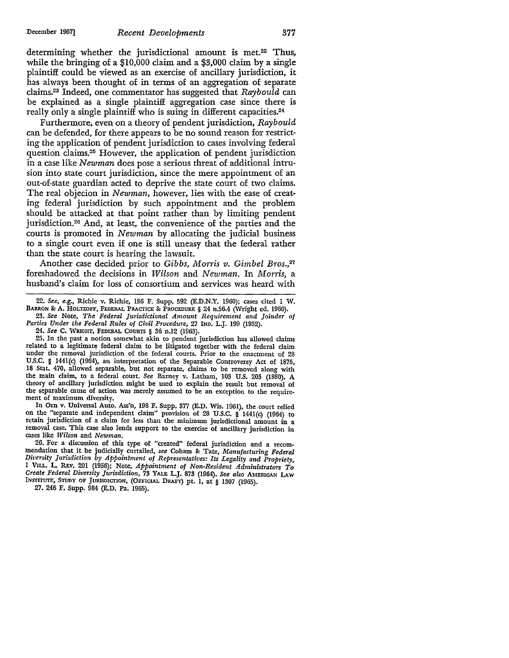determining whether the jurisdictional amount is met.<sup>22</sup> Thus, while the bringing of a \$10,000 claim and a \$3,000 claim by a single plaintiff could be viewed as an exercise of ancillary jurisdiction, it has always been thought of in terms of an aggregation of separate claims.23 Indeed, one commentator has suggested that *Raybould* can be explained as a single plaintiff aggregation case since there is really only a single plaintiff who is suing in different capacities.<sup>24</sup>

Furthermore, even on a theory of pendent jurisdiction, *Raybould*  can be defended, for there appears to be no sound reason for restricting the application of pendent jurisdiction to cases involving federal question claims.25 However, the application of pendent jurisdiction in a case like *Newman* does pose a serious threat of additional intrusion into state court jurisdiction, since the mere appointment of an out-of-state guardian acted to deprive the state court of two claims. The real objecion in *Newman,* however, lies with the ease of creating federal jurisdiction by such appointment and the problem should be attacked at that point rather than by limiting pendent jurisdiction.26 And, at least, the convenience of the parties and the courts is promoted in *Newman* by allocating the judicial business to a single court even if one is still uneasy that the federal rather than the state court is hearing the lawsuit.

Another case decided prior to *Gibbs, Morris v. Gimbel Bros.,27*  foreshadowed the decisions in *Wilson* and *Newman*. In *Morris*, a husband's claim for loss of consortium and services was heard with

22. *See, e.g.,* Richie v. Richie, 186 F. Supp. 592 (E.D.N.Y. 1960); cases cited l W. BARRON & A. HOLTZOFF, FEDERAL PRACTICE & PROCEDURE § 24 n.56.4 (Wright ed. 1960).

23. *See* Note, *The Federal Jurisdictional Amount Requirement and Joinder of Parties Under the Federal Rules of Civil Procedure,* 27 IND. L.J. 199 (1952).

24. *See* C. WRIGHT, FEDERAL COURTS § 36 n.12 (1963).

25. In the past a notion somewhat akin to pendent jurisdiction has allowed claims related to a legitimate federal claim to be litigated together with the federal claim under the removal jurisdiction of the federal courts. Prior to the enactment of 28 U.S.C, § 144l(c) (1964), an interpretation of the Separable Controversy Act of 1875, 18 Stat. 470, allowed separable, but not separate, claims to be removed along with the main claim, to a federal court. *See* Barney v. Latham, 103 U.S. 205 (1880), A theory of ancillary jurisdiction might be used to explain the result but removal of the separable cause of action was merely assumed to be an exception to the requirement of maximum diversity.

In Om v. Universal Auto. Ass'n, 198 F. Supp. 377 (E.D. Wis. 1961), the court relied on the "separate and independent claim" provision of 28 U.S.C. § 144l(c) (1964) to retain jurisdiction of a claim for less than the minimum jurisdictional amount in a removal case. This case also lends support to the exercise of ancillary jurisdiction in cases like *Wilson* and *Newman.* 

26. For a discussion of this type of "created" federal jurisdiction and a recommendation that it be judicially curtailed, *see* Coham & Tate, *Manufacturing Federal*  Diversity Jurisdiction by Appointment of Representatives: Its Legality and Propriety, I VILL. L. R.Ev. 201 (1956); Note, *Appointment of Non-Resident Administrators To Create Federal Diversity Jurisdiction,* 73 YALE L.J. 873 (1964). *See also* AMERICAN LAw INSTITUTE, STUDY OF JURISDICTION, (OFFICIAL DRAFT) pt. 1, at § 1307 (1965).

27. 246 F. Supp. 984 (E.D. Pa. 1965).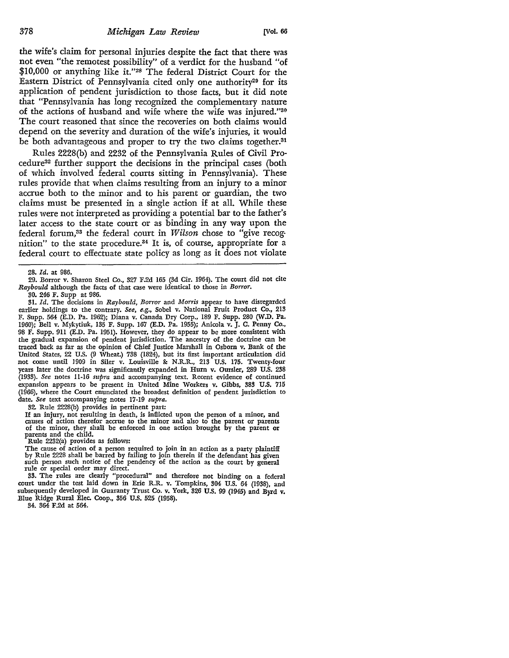the wife's claim for personal injuries despite the fact that there was not even "the remotest possibility" of a verdict for the husband "of \$10,000 or anything like it."<sup>28</sup> The federal District Court for the Eastern District of Pennsylvania cited only one authority<sup>29</sup> for its application of pendent jurisdiction to those facts, but it did note that "Pennsylvania has long recognized the complementary nature of the actions of husband and wife where the wife was injured."30 The court reasoned that since the recoveries on both claims would depend on the severity and duration of the wife's injuries, it would be both advantageous and proper to try the two claims together.<sup>31</sup>

Rules 2228(b) and 2232 of the Pennsylvania Rules of Civil Procedure32 further support the decisions in the principal cases (both of which involved federal courts sitting in Pennsylvania). These rules provide that when claims resulting from an injury to a minor accrue both to the minor and to his parent or guardian, the two claims must be presented in a single action if at all. While these rules were not interpreted as providing a potential bar to the father's later access to the state court or as binding in any way upon the federal forum,33 the federal court in *Wilson* chose to "give recog· nition" to the state procedure.34 It is, of course, appropriate for a federal court to effectuate state policy as long as it does not violate

31. *Id.* The decisions in *Raybould, Borror* and *Morris* appear to have disregarded earlier holdings to the contrary. See, e.g., Sobel v. National Fruit Product Co., 213 F. Supp. 564 (E.D. Pa. 1962); Diana v. Canada Dry Corp., 189 F. Supp. 280 (W.D. Pa. 1960); Bell v. Mykytiuk, 135 F. Supp. 167 (E.D. Pa. 1955); Anicola v. J. C. Penny Co., 98 F. Supp. 911 (E.D. Pa. 1951). However, they do appear to be more consistent with the gradual expansion of pendent jurisdiction. The ancestry of the doctrine can be traced back as far as the opinion of Chief Justice Marshall in Osborn v. Bank of the United States, 22 U.S. (9 Wheat.) 738 (1824), but its first important articulation did not come until 1909 in Siler v. Louisville & N.R.R., 213 U.S. 175. Twenty-four years later the doctrine was significantly expanded in Hum v. Oursler, 289 U.S. 238 (1933). *See* notes 11-16 *supra* and accompanying text. Recent evidence of continued expansion appears to be present in United Mine Workers v. Gibbs, 383 U.S. 715 (1966), where the Court enunciated the broadest definition of pendent jurisdiction to date. *See* text accompanying notes 17-19 *supra.* 

32. Rule 2228(b) provides in pertinent part: If an injury, not resulting in death, is inflicted upon the person of a minor, and causes of action therefor accrue to the minor and also to the parent or parents of the minor, they shall be enforced in one action brought by the parent or parents and the child. parents and the child.<br>Rule 2232(a) provides as follows:

The cause of action of a person required to join in an action as a party plaintiff by Rule 2228 shall be barred by failing to join therein if the defendant has given such person such notice of the pendency of the action as the court by general rule or special order may direct.

33. The rules are clearly "procedural" and therefore not binding on a federal court under the test laid down in Erie R.R. v. Tompkins, 304 U.S. 64 (1938), and subsequently developed in Guaranty Trust Co. v. York, 326 U.S. 99 (1945) and Byrd v. .Blue Ridge Rural Elec. Coop., 356 U.S. 525 (1958).

34. 364 F.2d at 564.

<sup>28.</sup> *Id.* at 986.

<sup>29.</sup> Borror v. Sharon Steel Co., 327 F.2d 165 (3d Cir. 1964). The court did not cite *Raybould* although the facts of that case were identical to those in *Borror.* 

<sup>30. 246</sup> F. Supp at 986.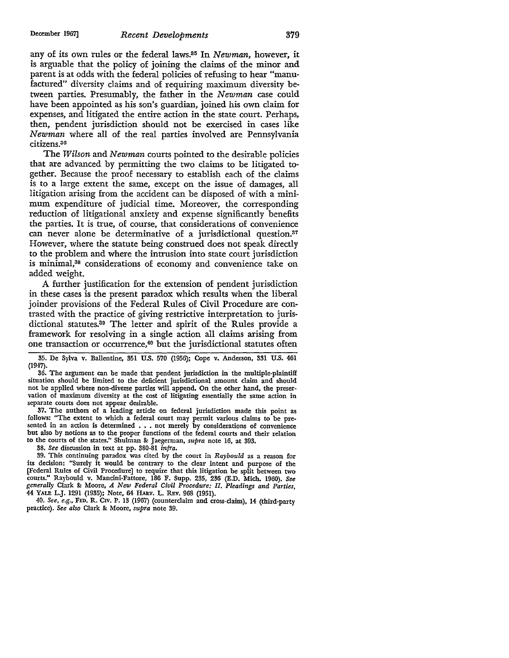any of its own rules or the federal laws.35 In *Newman,* however, it is arguable that the policy of joining the claims of the minor and parent is at odds with the federal policies of refusing to hear "manufactured" diversity claims and of requiring maximum diversity between parties. Presumably, the father in the *Newman* case could have been appointed as his son's guardian, joined his own claim for expenses, and litigated the entire action in the state court. Perhaps, then, pendent jurisdiction should not be exercised in cases like *Newman* where all of the real parties involved are Pennsylvania citizens.<sup>36</sup>

The *Wilson* and *Newman* courts pointed to the desirable policies that are advanced by permitting the two claims to be litigated together. Because the proof necessary to establish each of the claims is to a large extent the same, except on the issue of damages, all litigation arising from the accident can be disposed of with a minimum expenditure of judicial time. Moreover, the corresponding reduction of litigational anxiety and expense significantly benefits the parties. It is true, of course, that considerations of convenience can never alone be determinative of a jurisdictional question.37 However, where the statute being construed does not speak directly to the problem and where the intrusion into state court jurisdiction is minimal,38 considerations of economy and convenience take on added weight.

A further justification for the extension of pendent jurisdiction in these cases is the present paradox which results when the liberal joinder provisions of the Federal Rules of Civil Procedure are contrasted with the practice of giving restrictive interpretation to jurisdictional statutes.39 The letter and spirit of the Rules provide a framework for resolving in a single action all claims arising from one transaction or occurrence,40 but the jurisdictional statutes often

35. De Sylva v. Ballentine, 351 U.S. 570 (1956); Cope v. Anderson, 331 U.S. 461 (1947).

36. The argument can be made that pendent jurisdiction in the multiple-plaintiff situation should be limited to the deficient jurisdictional amount claim and should not be applied where non-diverse parties will append. On the other hand, the preservation of maximum diversity at the cost of litigating essentially the same action in separate courts does not appear desirable.

37. The authors of a leading article on federal jurisdiction made this point as follows: "The extent to which a federal court may permit various claims to be presented in an action is determined . . . not merely by considerations of convenience but also by notions as to the proper functions of the federal courts and their relation to the courts of the states." Shulman &: Jaegerman, *supra* note 16, at 393.

38. *See* discussion in text at pp. 380-81 *infra.* 

39. This continuing paradox was cited by the court in *Raybould* as a reason for its decision: "Surely it would be contrary to the clear intent and purpose of the [Federal Rules of Civil Procedure] to require that this litigation be split between two courts." Raybould v. Mancini-Fattore, 186 F. Supp. 235, 236 (E.D. Mich. 1960). *See generally* Clark &: Moore, *A New Federal Civil Procedure: II. Pleadings and Parties,*  44 YALE L.J. 1291 (1935); Note, 64 HARV. L. REv. 968 (1951).

40. *See, e.g.,* FED. R. Cxv. P. 13 (1967) (counterclaim and cross-claim), 14 (third-party practice). *See also* Clark &: Moore, *supra* note 39.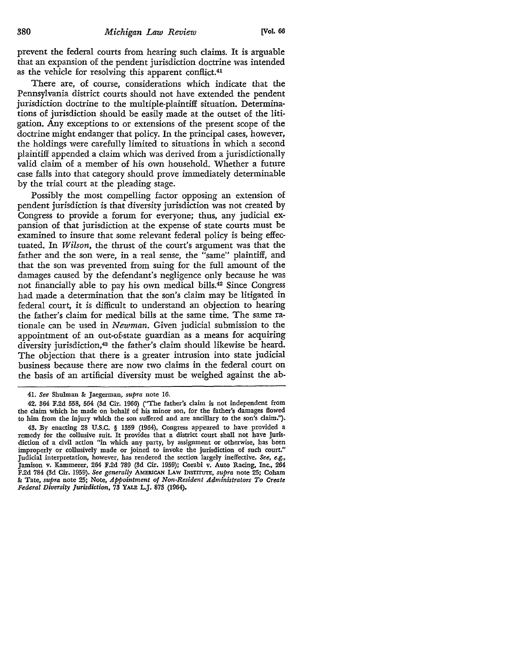prevent the federal courts from hearing such claims. It is arguable that an expansion of the pendent jurisdiction doctrine was intended as the vehicle for resolving this apparent conflict.<sup>41</sup>

There are, of course, considerations which indicate that the Pennsylvania district courts should not have extended the pendent jurisdiction doctrine to the multiple-plaintiff situation. Determinations of jurisdiction should be easily made at the outset of the litigation. Any exceptions to or extensions of the present scope of the doctrine might endanger that policy. In the principal cases, however, the holdings were carefully limited to situations in which a second plaintiff appended a claim which was derived from a jurisdictionally valid claim of a member of his own household. Whether a future case falls into that category should prove immediately determinable by the trial court at the pleading stage.

Possibly the most compelling factor opposing an extension of pendent jurisdiction is that diversity jurisdiction was not created by Congress to provide a forum for everyone; thus, any judicial expansion of that jurisdiction at the expense of state courts must be examined to insure that some relevant federal policy is being effectuated. In *Wilson,* the thrust of the court's argument was that the father and the son were, in a real sense, the "same" plaintiff, and that the son was prevented from suing for the full amount of the damages caused by the defendant's negligence only because he was not financially able to pay his own medical bills.42 Since Congress had made a determination that the son's claim may be litigated in federal court, it is difficult to understand an objection to hearing the father's claim for medical bills at the same time. The same rationale can be used in *Newman.* Given judicial submission to the appointment of an out-of-state guardian as a means for acquiring diversity jurisdiction,43 the father's claim should likewise be heard. The objection that there is a greater intrusion into state judicial business because there are now two claims in the federal court on the basis of an artificial diversity must be weighed against the ab-

<sup>41.</sup> *See* Shulman &: Jaegerman, *supra* note 16.

<sup>42. 364</sup> F.2d 558, 564 (3d Cir. 1966) ("The father's claim is not independent from the claim which he made on behalf of his minor son, for the father's damages flowed to him from the injury which the son suffered and are ancillary to the son's claim.").

<sup>43.</sup> By enacting 28 U.S.C. § 1359 (1964), Congress appeared to have provided a remedy for the collusive suit. It provides that a district court shall not have jurisdiction of a civil action "in which any party, by assignment or otherwise, has been improperly or collusively made or joined to invoke the jurisdiction of such court." Judicial interpretation, however, has rendered the section largely ineffective. *See, e.g.,*  Jamison v. Kammerer, 264 F.2d 789 (3d Cir. 1959); Corabi v. Auto Racing, Inc., 264 F.2d 784 (3d Cir. 1959). *See generally* AMERICAN LAW INSTITUTE, *supra* note 25; Coham &: Tate, *supra* note 25; Note, *Appointment of Non-Resident Administrators To Create Federal Diversity Jurisdiction,* 73 YALE L.J. 873 (1964).